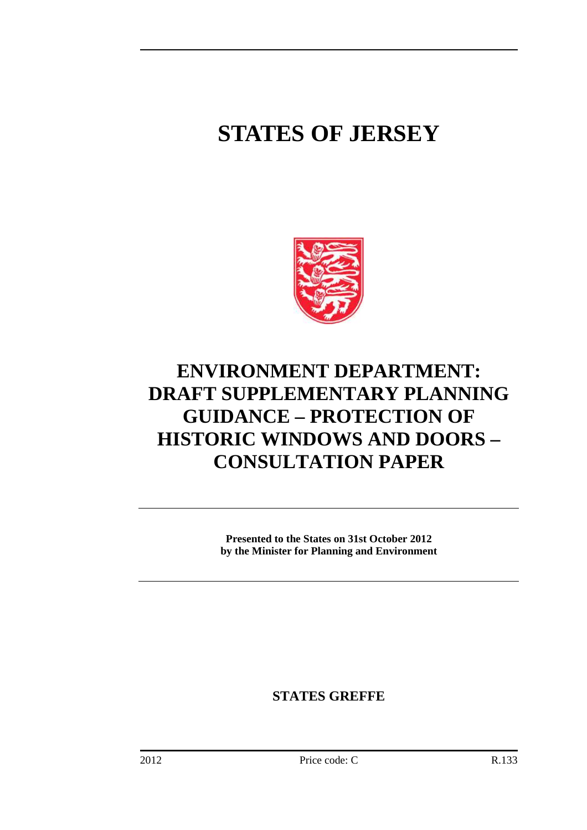# **STATES OF JERSEY**



## **ENVIRONMENT DEPARTMENT: DRAFT SUPPLEMENTARY PLANNING GUIDANCE – PROTECTION OF HISTORIC WINDOWS AND DOORS – CONSULTATION PAPER**

**Presented to the States on 31st October 2012 by the Minister for Planning and Environment** 

**STATES GREFFE**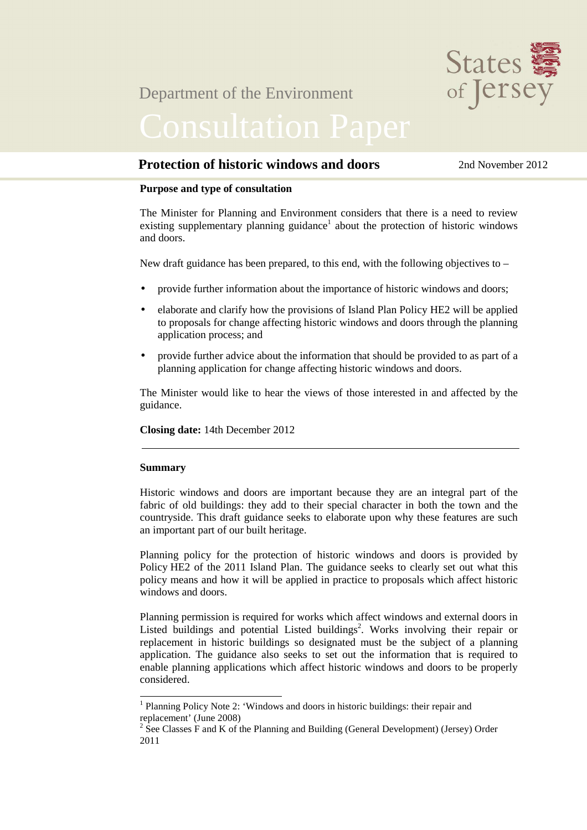

### Department of the Environment

### **Protection of historic windows and doors** 2nd November 2012

#### **Purpose and type of consultation**

The Minister for Planning and Environment considers that there is a need to review existing supplementary planning guidance<sup>1</sup> about the protection of historic windows and doors.

New draft guidance has been prepared, to this end, with the following objectives to –

- provide further information about the importance of historic windows and doors;
- elaborate and clarify how the provisions of Island Plan Policy HE2 will be applied to proposals for change affecting historic windows and doors through the planning application process; and
- provide further advice about the information that should be provided to as part of a planning application for change affecting historic windows and doors.

The Minister would like to hear the views of those interested in and affected by the guidance.

**Closing date:** 14th December 2012

#### **Summary**

 $\overline{a}$ 

Historic windows and doors are important because they are an integral part of the fabric of old buildings: they add to their special character in both the town and the countryside. This draft guidance seeks to elaborate upon why these features are such an important part of our built heritage.

Planning policy for the protection of historic windows and doors is provided by Policy HE2 of the 2011 Island Plan. The guidance seeks to clearly set out what this policy means and how it will be applied in practice to proposals which affect historic windows and doors.

Planning permission is required for works which affect windows and external doors in Listed buildings and potential Listed buildings<sup>2</sup>. Works involving their repair or replacement in historic buildings so designated must be the subject of a planning application. The guidance also seeks to set out the information that is required to enable planning applications which affect historic windows and doors to be properly considered.

<sup>&</sup>lt;sup>1</sup> Planning Policy Note 2: 'Windows and doors in historic buildings: their repair and replacement' (June 2008)

 $2^{2}$  See Classes F and K of the Planning and Building (General Development) (Jersey) Order 2011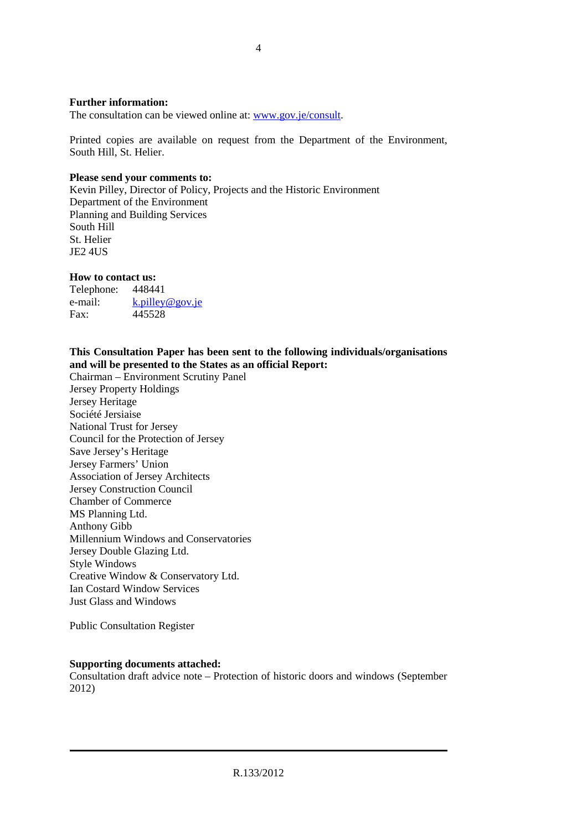#### **Further information:**

The consultation can be viewed online at: www.gov.je/consult.

Printed copies are available on request from the Department of the Environment, South Hill, St. Helier.

#### **Please send your comments to:**

Kevin Pilley, Director of Policy, Projects and the Historic Environment Department of the Environment Planning and Building Services South Hill St. Helier JE2 4US

#### **How to contact us:**

Telephone: 448441 e-mail: k.pilley@gov.je Fax: 445528

#### **This Consultation Paper has been sent to the following individuals/organisations and will be presented to the States as an official Report:**

Chairman – Environment Scrutiny Panel Jersey Property Holdings Jersey Heritage Société Jersiaise National Trust for Jersey Council for the Protection of Jersey Save Jersey's Heritage Jersey Farmers' Union Association of Jersey Architects Jersey Construction Council Chamber of Commerce MS Planning Ltd. Anthony Gibb Millennium Windows and Conservatories Jersey Double Glazing Ltd. Style Windows Creative Window & Conservatory Ltd. Ian Costard Window Services Just Glass and Windows

Public Consultation Register

#### **Supporting documents attached:**

Consultation draft advice note – Protection of historic doors and windows (September 2012)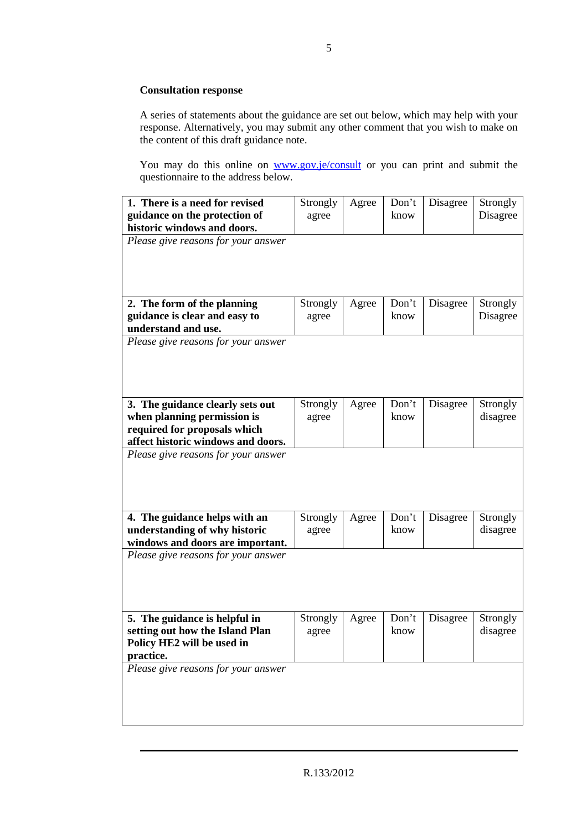#### **Consultation response**

A series of statements about the guidance are set out below, which may help with your response. Alternatively, you may submit any other comment that you wish to make on the content of this draft guidance note.

You may do this online on www.gov.je/consult or you can print and submit the questionnaire to the address below.

| 1. There is a need for revised<br>guidance on the protection of<br>historic windows and doors.<br>Please give reasons for your answer | Strongly<br>agree | Agree | Don't<br>know | Disagree | Strongly<br>Disagree |
|---------------------------------------------------------------------------------------------------------------------------------------|-------------------|-------|---------------|----------|----------------------|
| 2. The form of the planning                                                                                                           | Strongly          | Agree | Don't         | Disagree | Strongly             |
| guidance is clear and easy to                                                                                                         | agree             |       | know          |          | Disagree             |
| understand and use.<br>Please give reasons for your answer                                                                            |                   |       |               |          |                      |
|                                                                                                                                       |                   |       |               |          |                      |
| 3. The guidance clearly sets out                                                                                                      | Strongly          | Agree | Don't         | Disagree | Strongly             |
| when planning permission is<br>required for proposals which                                                                           | agree             |       | know          |          | disagree             |
| affect historic windows and doors.                                                                                                    |                   |       |               |          |                      |
| Please give reasons for your answer                                                                                                   |                   |       |               |          |                      |
| 4. The guidance helps with an                                                                                                         | Strongly          | Agree | Don't         | Disagree | Strongly             |
| understanding of why historic                                                                                                         | agree             |       | know          |          | disagree             |
| windows and doors are important.<br>Please give reasons for your answer                                                               |                   |       |               |          |                      |
| 5. The guidance is helpful in                                                                                                         | Strongly          | Agree | Don't         | Disagree | Strongly             |
| setting out how the Island Plan<br>Policy HE2 will be used in<br>practice.                                                            | agree             |       | know          |          | disagree             |
| Please give reasons for your answer                                                                                                   |                   |       |               |          |                      |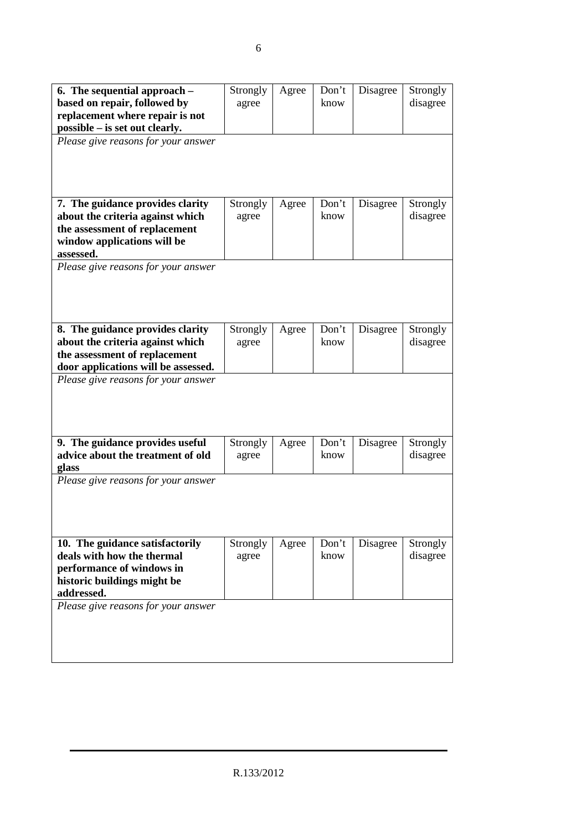| 6. The sequential approach $-$<br>based on repair, followed by<br>replacement where repair is not<br>possible – is set out clearly.<br>Please give reasons for your answer | Strongly<br>agree | Agree | Don't<br>know | Disagree | Strongly<br>disagree |
|----------------------------------------------------------------------------------------------------------------------------------------------------------------------------|-------------------|-------|---------------|----------|----------------------|
| 7. The guidance provides clarity<br>about the criteria against which<br>the assessment of replacement<br>window applications will be<br>assessed.                          | Strongly<br>agree | Agree | Don't<br>know | Disagree | Strongly<br>disagree |
| Please give reasons for your answer                                                                                                                                        |                   |       |               |          |                      |
| 8. The guidance provides clarity<br>about the criteria against which<br>the assessment of replacement<br>door applications will be assessed.                               | Strongly<br>agree | Agree | Don't<br>know | Disagree | Strongly<br>disagree |
| Please give reasons for your answer                                                                                                                                        |                   |       |               |          |                      |
| 9. The guidance provides useful<br>advice about the treatment of old<br>glass                                                                                              | Strongly<br>agree | Agree | Don't<br>know | Disagree | Strongly<br>disagree |
| Please give reasons for your answer                                                                                                                                        |                   |       |               |          |                      |
| 10. The guidance satisfactorily<br>deals with how the thermal<br>performance of windows in<br>historic buildings might be<br>addressed.                                    | Strongly<br>agree | Agree | Don't<br>know | Disagree | Strongly<br>disagree |
| Please give reasons for your answer                                                                                                                                        |                   |       |               |          |                      |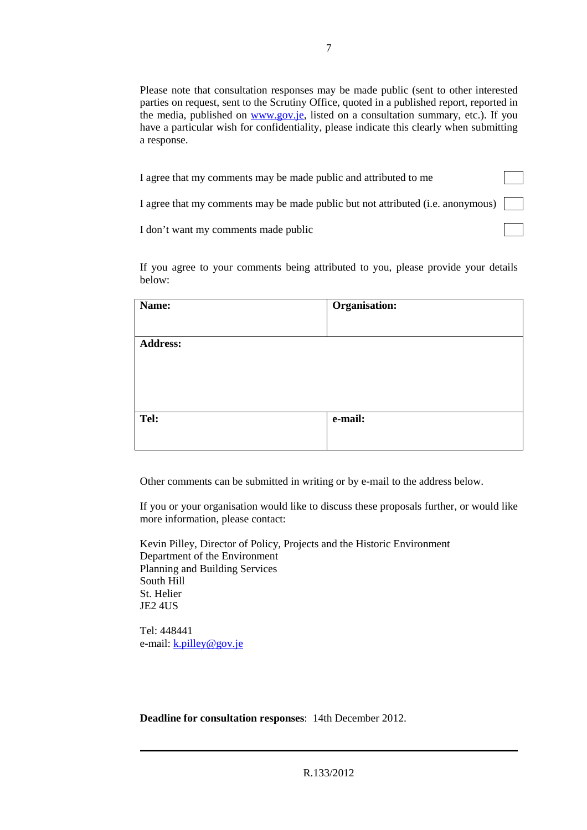Please note that consultation responses may be made public (sent to other interested parties on request, sent to the Scrutiny Office, quoted in a published report, reported in the media, published on www.gov.je, listed on a consultation summary, etc.). If you have a particular wish for confidentiality, please indicate this clearly when submitting a response.

| I agree that my comments may be made public and attributed to me                |  |
|---------------------------------------------------------------------------------|--|
| I agree that my comments may be made public but not attributed (i.e. anonymous) |  |
| I don't want my comments made public                                            |  |
|                                                                                 |  |

If you agree to your comments being attributed to you, please provide your details below:

| Name:           | Organisation: |  |
|-----------------|---------------|--|
|                 |               |  |
| <b>Address:</b> |               |  |
|                 |               |  |
|                 |               |  |
|                 |               |  |
| Tel:            | e-mail:       |  |
|                 |               |  |

Other comments can be submitted in writing or by e-mail to the address below.

If you or your organisation would like to discuss these proposals further, or would like more information, please contact:

Kevin Pilley, Director of Policy, Projects and the Historic Environment Department of the Environment Planning and Building Services South Hill St. Helier JE2 4US

Tel: 448441 e-mail: k.pilley@gov.je

**Deadline for consultation responses**: 14th December 2012.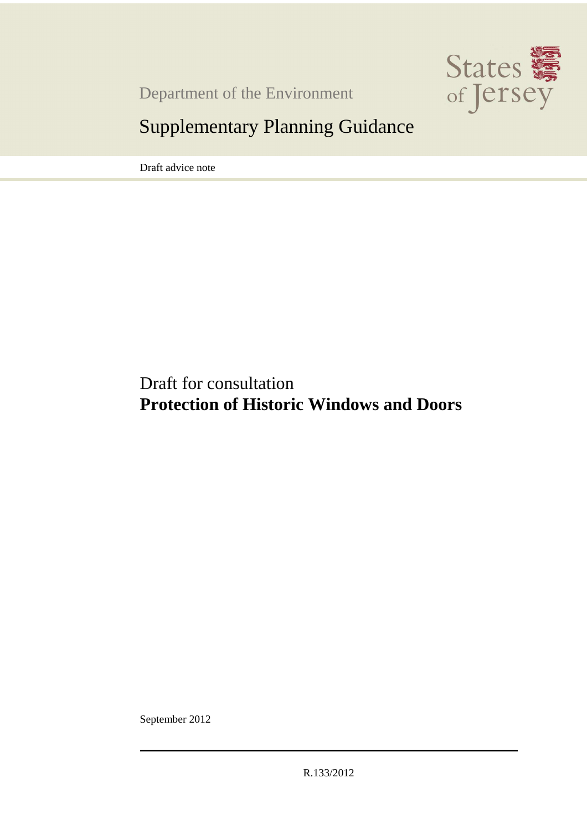

Department of the Environment

## Supplementary Planning Guidance

Draft advice note

Draft for consultation **Protection of Historic Windows and Doors** 

September 2012

R.133/2012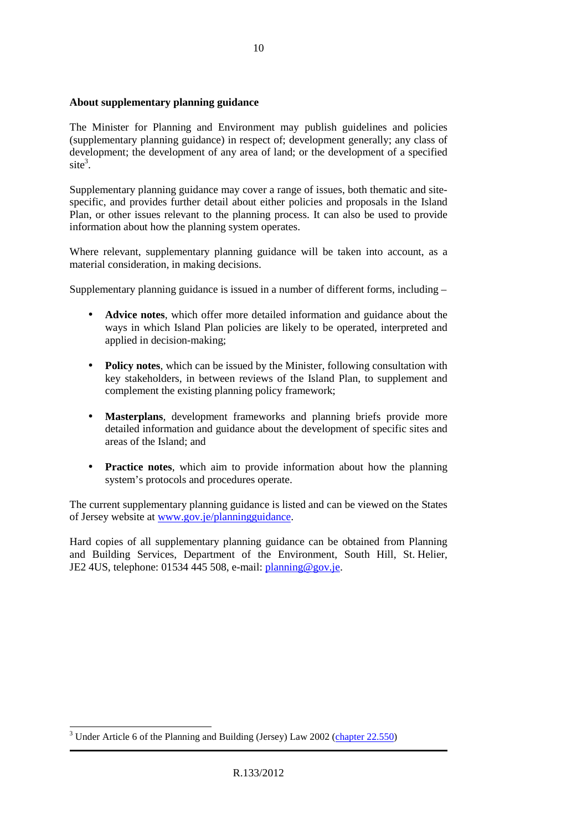#### **About supplementary planning guidance**

The Minister for Planning and Environment may publish guidelines and policies (supplementary planning guidance) in respect of; development generally; any class of development; the development of any area of land; or the development of a specified  $site<sup>3</sup>$ .

Supplementary planning guidance may cover a range of issues, both thematic and sitespecific, and provides further detail about either policies and proposals in the Island Plan, or other issues relevant to the planning process. It can also be used to provide information about how the planning system operates.

Where relevant, supplementary planning guidance will be taken into account, as a material consideration, in making decisions.

Supplementary planning guidance is issued in a number of different forms, including –

- **Advice notes**, which offer more detailed information and guidance about the ways in which Island Plan policies are likely to be operated, interpreted and applied in decision-making;
- **Policy notes**, which can be issued by the Minister, following consultation with key stakeholders, in between reviews of the Island Plan, to supplement and complement the existing planning policy framework;
- **Masterplans**, development frameworks and planning briefs provide more detailed information and guidance about the development of specific sites and areas of the Island; and
- **Practice notes**, which aim to provide information about how the planning system's protocols and procedures operate.

The current supplementary planning guidance is listed and can be viewed on the States of Jersey website at www.gov.je/planningguidance.

Hard copies of all supplementary planning guidance can be obtained from Planning and Building Services, Department of the Environment, South Hill, St. Helier, JE2 4US, telephone: 01534 445 508, e-mail: planning@gov.je.

<sup>&</sup>lt;sup>3</sup> Under Article 6 of the Planning and Building (Jersey) Law 2002 (chapter 22.550)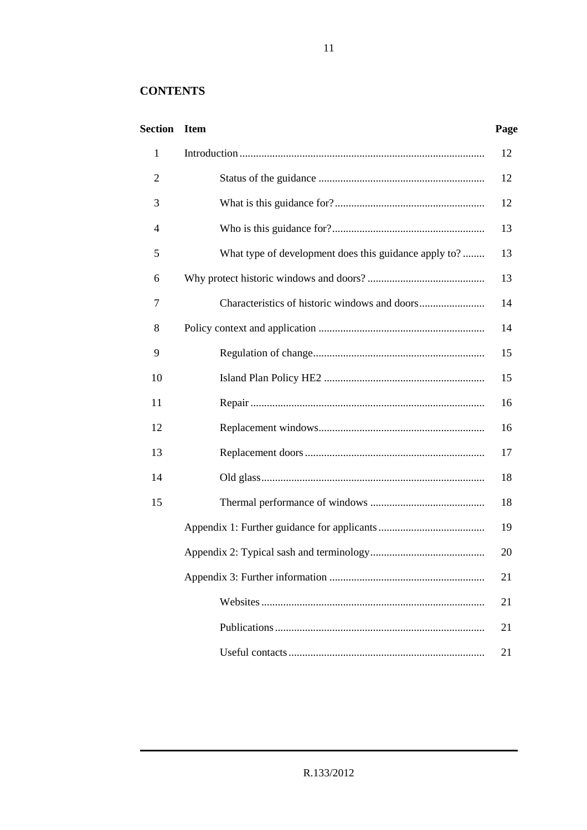### **CONTENTS**

### **Section Item Page**

| $\mathbf{1}$ |                                                       | 12 |
|--------------|-------------------------------------------------------|----|
| 2            |                                                       | 12 |
| 3            |                                                       | 12 |
| 4            |                                                       | 13 |
| 5            | What type of development does this guidance apply to? | 13 |
| 6            |                                                       | 13 |
| 7            |                                                       | 14 |
| 8            |                                                       | 14 |
| 9            |                                                       | 15 |
| 10           |                                                       | 15 |
| 11           |                                                       | 16 |
| 12           |                                                       | 16 |
| 13           |                                                       | 17 |
| 14           |                                                       | 18 |
| 15           |                                                       | 18 |
|              |                                                       | 19 |
|              |                                                       | 20 |
|              |                                                       | 21 |
|              |                                                       | 21 |
|              |                                                       | 21 |
|              |                                                       | 21 |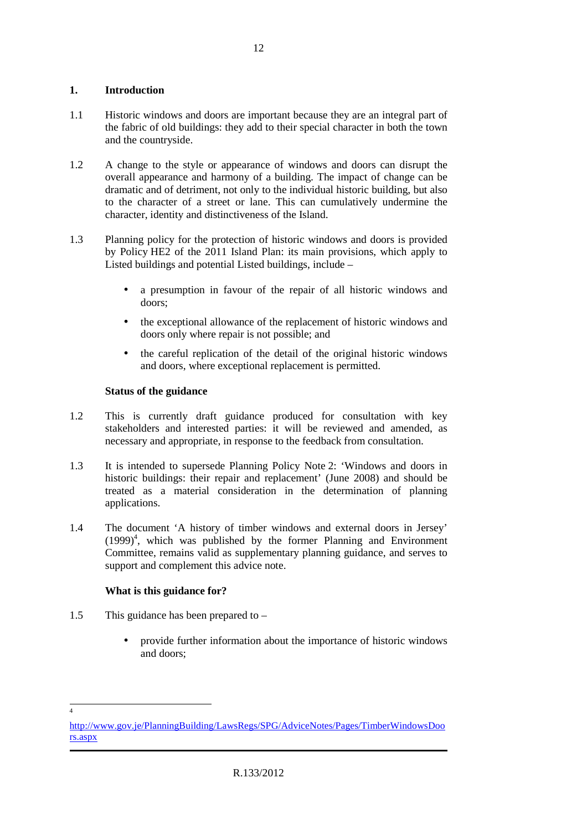#### **1. Introduction**

- 1.1 Historic windows and doors are important because they are an integral part of the fabric of old buildings: they add to their special character in both the town and the countryside.
- 1.2 A change to the style or appearance of windows and doors can disrupt the overall appearance and harmony of a building. The impact of change can be dramatic and of detriment, not only to the individual historic building, but also to the character of a street or lane. This can cumulatively undermine the character, identity and distinctiveness of the Island.
- 1.3 Planning policy for the protection of historic windows and doors is provided by Policy HE2 of the 2011 Island Plan: its main provisions, which apply to Listed buildings and potential Listed buildings, include –
	- a presumption in favour of the repair of all historic windows and doors;
	- the exceptional allowance of the replacement of historic windows and doors only where repair is not possible; and
	- the careful replication of the detail of the original historic windows and doors, where exceptional replacement is permitted.

#### **Status of the guidance**

- 1.2 This is currently draft guidance produced for consultation with key stakeholders and interested parties: it will be reviewed and amended, as necessary and appropriate, in response to the feedback from consultation.
- 1.3 It is intended to supersede Planning Policy Note 2: 'Windows and doors in historic buildings: their repair and replacement' (June 2008) and should be treated as a material consideration in the determination of planning applications.
- 1.4 The document 'A history of timber windows and external doors in Jersey'  $(1999)^4$ , which was published by the former Planning and Environment Committee, remains valid as supplementary planning guidance, and serves to support and complement this advice note.

#### **What is this guidance for?**

- 1.5 This guidance has been prepared to
	- provide further information about the importance of historic windows and doors;

 4

http://www.gov.je/PlanningBuilding/LawsRegs/SPG/AdviceNotes/Pages/TimberWindowsDoo rs.aspx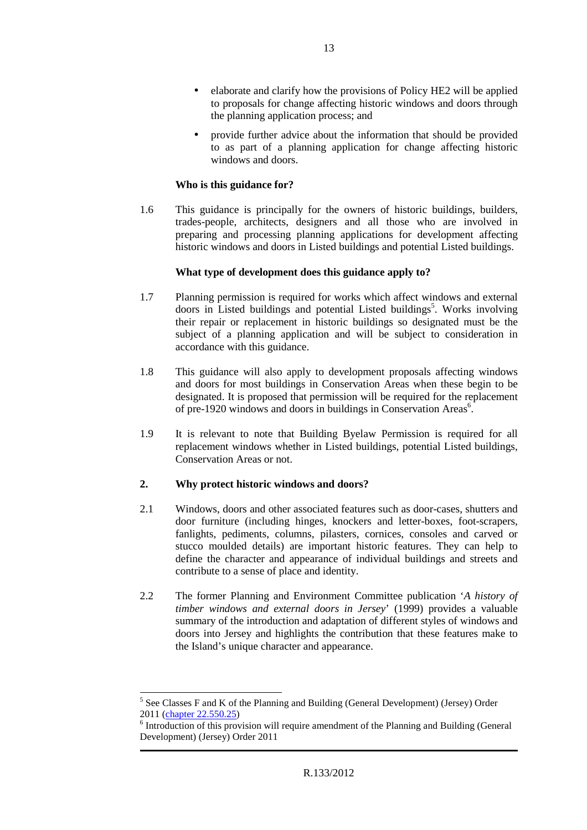- elaborate and clarify how the provisions of Policy HE2 will be applied to proposals for change affecting historic windows and doors through the planning application process; and
- provide further advice about the information that should be provided to as part of a planning application for change affecting historic windows and doors.

#### **Who is this guidance for?**

1.6 This guidance is principally for the owners of historic buildings, builders, trades-people, architects, designers and all those who are involved in preparing and processing planning applications for development affecting historic windows and doors in Listed buildings and potential Listed buildings.

#### **What type of development does this guidance apply to?**

- 1.7 Planning permission is required for works which affect windows and external doors in Listed buildings and potential Listed buildings<sup>5</sup>. Works involving their repair or replacement in historic buildings so designated must be the subject of a planning application and will be subject to consideration in accordance with this guidance.
- 1.8 This guidance will also apply to development proposals affecting windows and doors for most buildings in Conservation Areas when these begin to be designated. It is proposed that permission will be required for the replacement of pre-1920 windows and doors in buildings in Conservation Areas<sup>6</sup>.
- 1.9 It is relevant to note that Building Byelaw Permission is required for all replacement windows whether in Listed buildings, potential Listed buildings, Conservation Areas or not.

#### **2. Why protect historic windows and doors?**

 $\overline{a}$ 

- 2.1 Windows, doors and other associated features such as door-cases, shutters and door furniture (including hinges, knockers and letter-boxes, foot-scrapers, fanlights, pediments, columns, pilasters, cornices, consoles and carved or stucco moulded details) are important historic features. They can help to define the character and appearance of individual buildings and streets and contribute to a sense of place and identity.
- 2.2 The former Planning and Environment Committee publication '*A history of timber windows and external doors in Jersey*' (1999) provides a valuable summary of the introduction and adaptation of different styles of windows and doors into Jersey and highlights the contribution that these features make to the Island's unique character and appearance.

<sup>&</sup>lt;sup>5</sup> See Classes F and K of the Planning and Building (General Development) (Jersey) Order 2011 (chapter 22.550.25)

<sup>&</sup>lt;sup>6</sup> Introduction of this provision will require amendment of the Planning and Building (General Development) (Jersey) Order 2011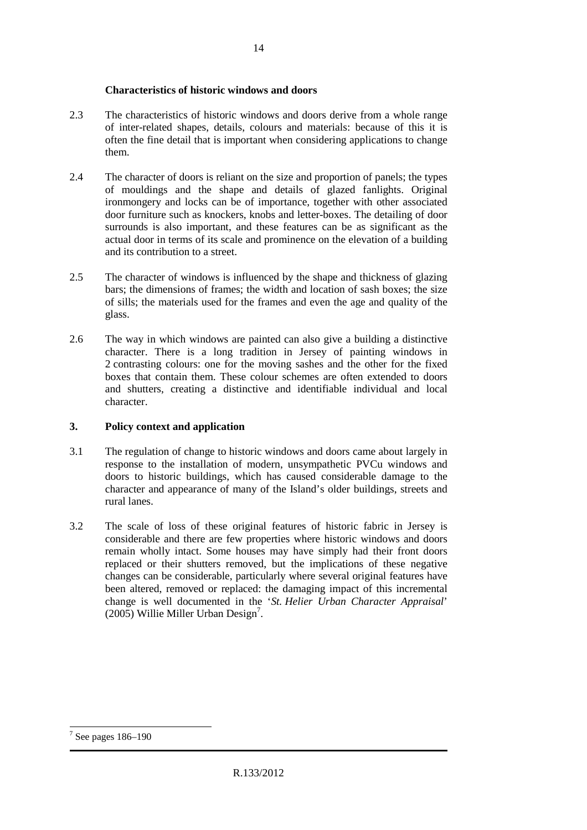#### **Characteristics of historic windows and doors**

- 2.3 The characteristics of historic windows and doors derive from a whole range of inter-related shapes, details, colours and materials: because of this it is often the fine detail that is important when considering applications to change them.
- 2.4 The character of doors is reliant on the size and proportion of panels; the types of mouldings and the shape and details of glazed fanlights. Original ironmongery and locks can be of importance, together with other associated door furniture such as knockers, knobs and letter-boxes. The detailing of door surrounds is also important, and these features can be as significant as the actual door in terms of its scale and prominence on the elevation of a building and its contribution to a street.
- 2.5 The character of windows is influenced by the shape and thickness of glazing bars; the dimensions of frames; the width and location of sash boxes; the size of sills; the materials used for the frames and even the age and quality of the glass.
- 2.6 The way in which windows are painted can also give a building a distinctive character. There is a long tradition in Jersey of painting windows in 2 contrasting colours: one for the moving sashes and the other for the fixed boxes that contain them. These colour schemes are often extended to doors and shutters, creating a distinctive and identifiable individual and local character.

#### **3. Policy context and application**

- 3.1 The regulation of change to historic windows and doors came about largely in response to the installation of modern, unsympathetic PVCu windows and doors to historic buildings, which has caused considerable damage to the character and appearance of many of the Island's older buildings, streets and rural lanes.
- 3.2 The scale of loss of these original features of historic fabric in Jersey is considerable and there are few properties where historic windows and doors remain wholly intact. Some houses may have simply had their front doors replaced or their shutters removed, but the implications of these negative changes can be considerable, particularly where several original features have been altered, removed or replaced: the damaging impact of this incremental change is well documented in the '*St. Helier Urban Character Appraisal*'  $(2005)$  Willie Miller Urban Design<sup>7</sup>.

 $\overline{a}$ 7 See pages 186–190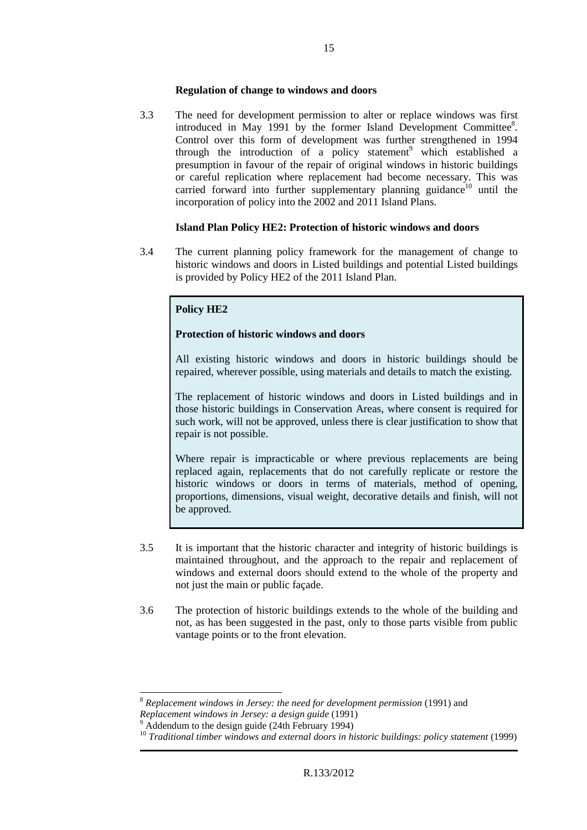#### **Regulation of change to windows and doors**

3.3 The need for development permission to alter or replace windows was first introduced in May 1991 by the former Island Development Committee<sup>8</sup>. Control over this form of development was further strengthened in 1994 through the introduction of a policy statement<sup>9</sup> which established a presumption in favour of the repair of original windows in historic buildings or careful replication where replacement had become necessary. This was carried forward into further supplementary planning guidance<sup>10</sup> until the incorporation of policy into the 2002 and 2011 Island Plans.

#### **Island Plan Policy HE2: Protection of historic windows and doors**

3.4 The current planning policy framework for the management of change to historic windows and doors in Listed buildings and potential Listed buildings is provided by Policy HE2 of the 2011 Island Plan.

#### **Policy HE2**

#### **Protection of historic windows and doors**

All existing historic windows and doors in historic buildings should be repaired, wherever possible, using materials and details to match the existing.

The replacement of historic windows and doors in Listed buildings and in those historic buildings in Conservation Areas, where consent is required for such work, will not be approved, unless there is clear justification to show that repair is not possible.

Where repair is impracticable or where previous replacements are being replaced again, replacements that do not carefully replicate or restore the historic windows or doors in terms of materials, method of opening, proportions, dimensions, visual weight, decorative details and finish, will not be approved.

- 3.5 It is important that the historic character and integrity of historic buildings is maintained throughout, and the approach to the repair and replacement of windows and external doors should extend to the whole of the property and not just the main or public façade.
- 3.6 The protection of historic buildings extends to the whole of the building and not, as has been suggested in the past, only to those parts visible from public vantage points or to the front elevation.

 $\overline{a}$ 

<sup>8</sup> *Replacement windows in Jersey: the need for development permission* (1991) and *Replacement windows in Jersey: a design guide* (1991)

<sup>9</sup> Addendum to the design guide (24th February 1994)

<sup>10</sup> *Traditional timber windows and external doors in historic buildings: policy statement* (1999)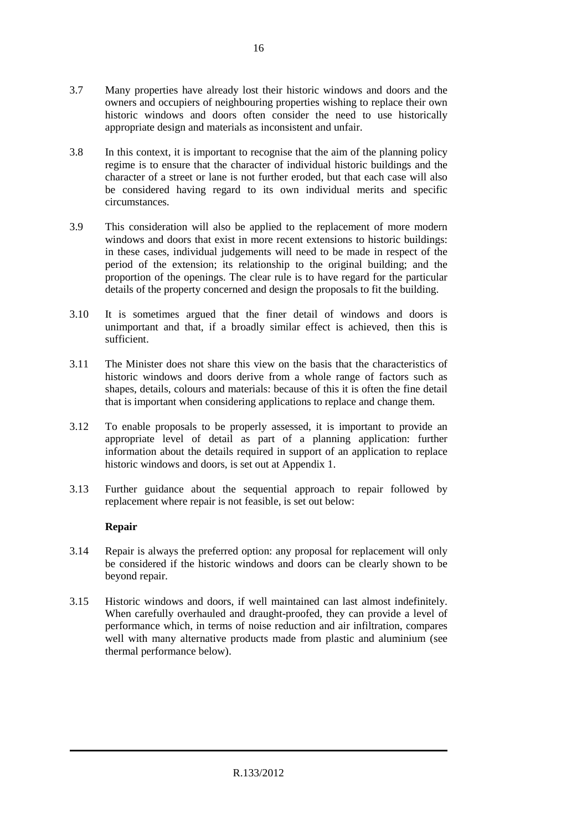- 3.7 Many properties have already lost their historic windows and doors and the owners and occupiers of neighbouring properties wishing to replace their own historic windows and doors often consider the need to use historically appropriate design and materials as inconsistent and unfair.
- 3.8 In this context, it is important to recognise that the aim of the planning policy regime is to ensure that the character of individual historic buildings and the character of a street or lane is not further eroded, but that each case will also be considered having regard to its own individual merits and specific circumstances.
- 3.9 This consideration will also be applied to the replacement of more modern windows and doors that exist in more recent extensions to historic buildings: in these cases, individual judgements will need to be made in respect of the period of the extension; its relationship to the original building; and the proportion of the openings. The clear rule is to have regard for the particular details of the property concerned and design the proposals to fit the building.
- 3.10 It is sometimes argued that the finer detail of windows and doors is unimportant and that, if a broadly similar effect is achieved, then this is sufficient.
- 3.11 The Minister does not share this view on the basis that the characteristics of historic windows and doors derive from a whole range of factors such as shapes, details, colours and materials: because of this it is often the fine detail that is important when considering applications to replace and change them.
- 3.12 To enable proposals to be properly assessed, it is important to provide an appropriate level of detail as part of a planning application: further information about the details required in support of an application to replace historic windows and doors, is set out at Appendix 1.
- 3.13 Further guidance about the sequential approach to repair followed by replacement where repair is not feasible, is set out below:

#### **Repair**

- 3.14 Repair is always the preferred option: any proposal for replacement will only be considered if the historic windows and doors can be clearly shown to be beyond repair.
- 3.15 Historic windows and doors, if well maintained can last almost indefinitely. When carefully overhauled and draught-proofed, they can provide a level of performance which, in terms of noise reduction and air infiltration, compares well with many alternative products made from plastic and aluminium (see thermal performance below).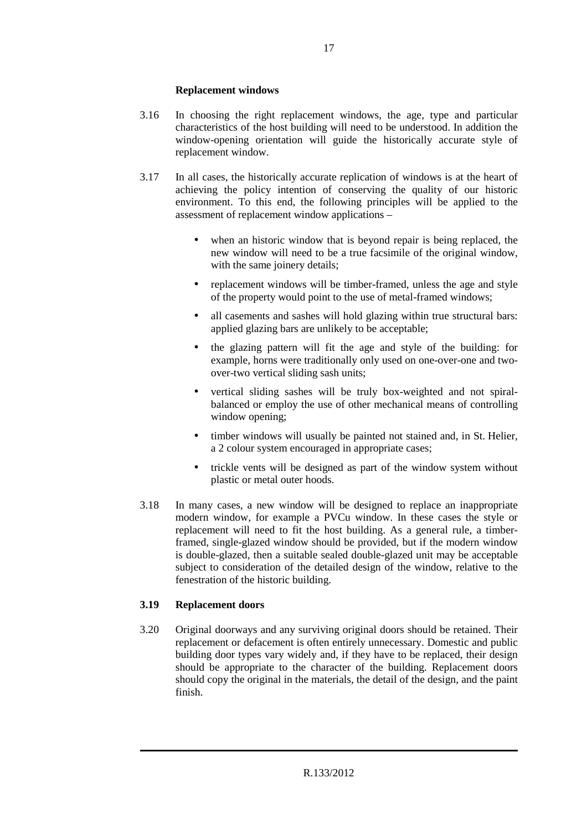#### **Replacement windows**

- 3.16 In choosing the right replacement windows, the age, type and particular characteristics of the host building will need to be understood. In addition the window-opening orientation will guide the historically accurate style of replacement window.
- 3.17 In all cases, the historically accurate replication of windows is at the heart of achieving the policy intention of conserving the quality of our historic environment. To this end, the following principles will be applied to the assessment of replacement window applications –
	- when an historic window that is beyond repair is being replaced, the new window will need to be a true facsimile of the original window, with the same joinery details;
	- replacement windows will be timber-framed, unless the age and style of the property would point to the use of metal-framed windows;
	- all casements and sashes will hold glazing within true structural bars: applied glazing bars are unlikely to be acceptable;
	- the glazing pattern will fit the age and style of the building: for example, horns were traditionally only used on one-over-one and twoover-two vertical sliding sash units;
	- vertical sliding sashes will be truly box-weighted and not spiralbalanced or employ the use of other mechanical means of controlling window opening;
	- timber windows will usually be painted not stained and, in St. Helier, a 2 colour system encouraged in appropriate cases;
	- trickle vents will be designed as part of the window system without plastic or metal outer hoods.
- 3.18 In many cases, a new window will be designed to replace an inappropriate modern window, for example a PVCu window. In these cases the style or replacement will need to fit the host building. As a general rule, a timberframed, single-glazed window should be provided, but if the modern window is double-glazed, then a suitable sealed double-glazed unit may be acceptable subject to consideration of the detailed design of the window, relative to the fenestration of the historic building.

#### **3.19 Replacement doors**

3.20 Original doorways and any surviving original doors should be retained. Their replacement or defacement is often entirely unnecessary. Domestic and public building door types vary widely and, if they have to be replaced, their design should be appropriate to the character of the building. Replacement doors should copy the original in the materials, the detail of the design, and the paint finish.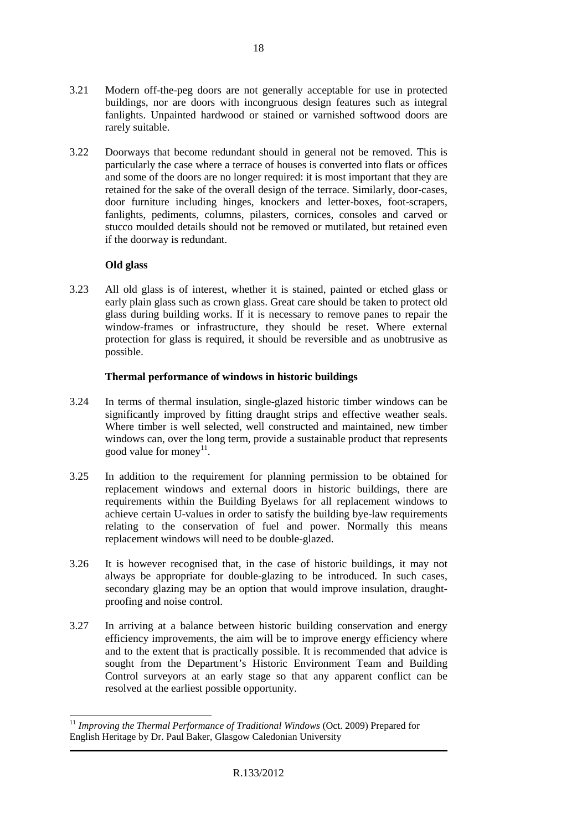- 3.21 Modern off-the-peg doors are not generally acceptable for use in protected buildings, nor are doors with incongruous design features such as integral fanlights. Unpainted hardwood or stained or varnished softwood doors are rarely suitable.
- 3.22 Doorways that become redundant should in general not be removed. This is particularly the case where a terrace of houses is converted into flats or offices and some of the doors are no longer required: it is most important that they are retained for the sake of the overall design of the terrace. Similarly, door-cases, door furniture including hinges, knockers and letter-boxes, foot-scrapers, fanlights, pediments, columns, pilasters, cornices, consoles and carved or stucco moulded details should not be removed or mutilated, but retained even if the doorway is redundant.

#### **Old glass**

3.23 All old glass is of interest, whether it is stained, painted or etched glass or early plain glass such as crown glass. Great care should be taken to protect old glass during building works. If it is necessary to remove panes to repair the window-frames or infrastructure, they should be reset. Where external protection for glass is required, it should be reversible and as unobtrusive as possible.

#### **Thermal performance of windows in historic buildings**

- 3.24 In terms of thermal insulation, single-glazed historic timber windows can be significantly improved by fitting draught strips and effective weather seals. Where timber is well selected, well constructed and maintained, new timber windows can, over the long term, provide a sustainable product that represents good value for money<sup>11</sup>.
- 3.25 In addition to the requirement for planning permission to be obtained for replacement windows and external doors in historic buildings, there are requirements within the Building Byelaws for all replacement windows to achieve certain U-values in order to satisfy the building bye-law requirements relating to the conservation of fuel and power. Normally this means replacement windows will need to be double-glazed.
- 3.26 It is however recognised that, in the case of historic buildings, it may not always be appropriate for double-glazing to be introduced. In such cases, secondary glazing may be an option that would improve insulation, draughtproofing and noise control.
- 3.27 In arriving at a balance between historic building conservation and energy efficiency improvements, the aim will be to improve energy efficiency where and to the extent that is practically possible. It is recommended that advice is sought from the Department's Historic Environment Team and Building Control surveyors at an early stage so that any apparent conflict can be resolved at the earliest possible opportunity.

 $\overline{a}$ <sup>11</sup> Improving the Thermal Performance of Traditional Windows (Oct. 2009) Prepared for English Heritage by Dr. Paul Baker, Glasgow Caledonian University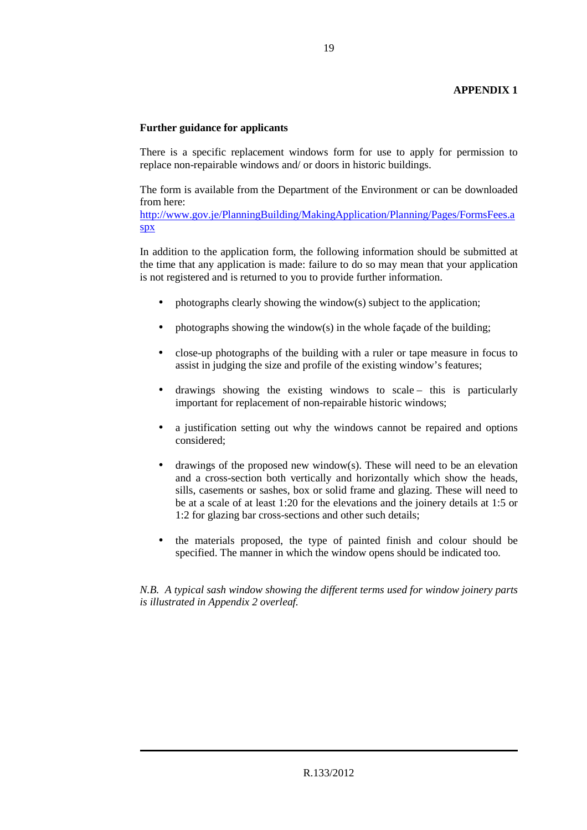#### **APPENDIX 1**

#### **Further guidance for applicants**

There is a specific replacement windows form for use to apply for permission to replace non-repairable windows and/ or doors in historic buildings.

The form is available from the Department of the Environment or can be downloaded from here:

http://www.gov.je/PlanningBuilding/MakingApplication/Planning/Pages/FormsFees.a spx

In addition to the application form, the following information should be submitted at the time that any application is made: failure to do so may mean that your application is not registered and is returned to you to provide further information.

- photographs clearly showing the window(s) subject to the application;
- photographs showing the window(s) in the whole façade of the building;
- close-up photographs of the building with a ruler or tape measure in focus to assist in judging the size and profile of the existing window's features;
- drawings showing the existing windows to scale this is particularly important for replacement of non-repairable historic windows;
- a justification setting out why the windows cannot be repaired and options considered;
- drawings of the proposed new window(s). These will need to be an elevation and a cross-section both vertically and horizontally which show the heads, sills, casements or sashes, box or solid frame and glazing. These will need to be at a scale of at least 1:20 for the elevations and the joinery details at 1:5 or 1:2 for glazing bar cross-sections and other such details;
- the materials proposed, the type of painted finish and colour should be specified. The manner in which the window opens should be indicated too.

*N.B. A typical sash window showing the different terms used for window joinery parts is illustrated in Appendix 2 overleaf.*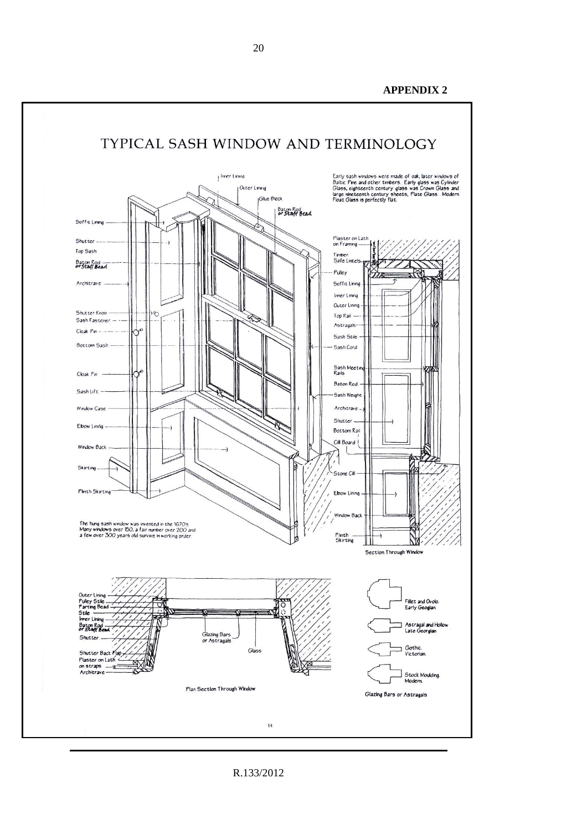**APPENDIX 2**